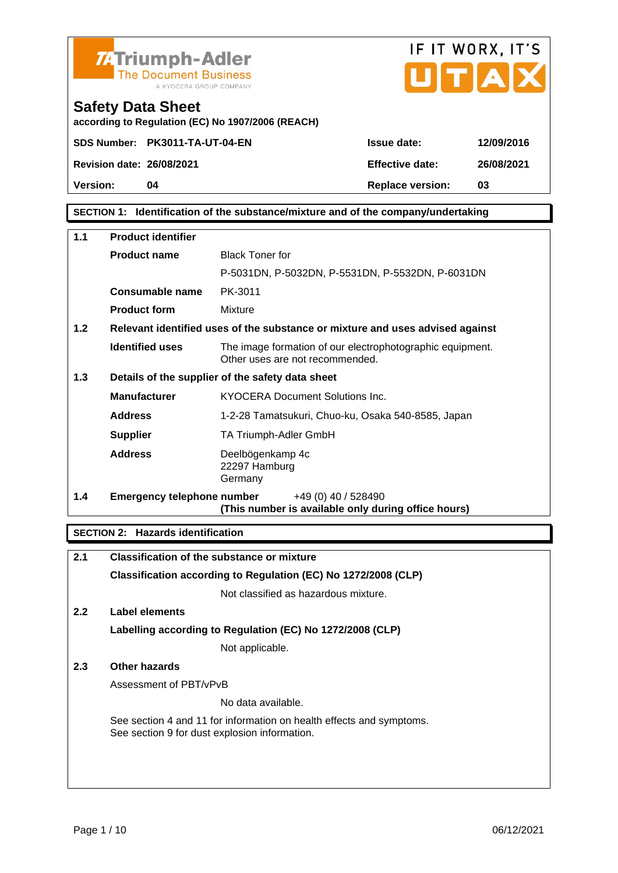



according to Regulation (EC) No 1907/2006 (REACH)

Revision date: 26/08/2021 Effective date: 26/08/2021

Safety Data Sheet

Version: 04 Replace version: 03

SECTION 1: Identification of the substance/mixture and of the company/undertaking

| 1.1 | Product identifier         |                                                                                              |
|-----|----------------------------|----------------------------------------------------------------------------------------------|
|     | Product name               | <b>Black Toner for</b>                                                                       |
|     |                            | P-5031DN, P-5032DN, P-5531DN, P-5532DN, P-6031DN                                             |
|     | Consumable name            | PK-3011                                                                                      |
|     | Product form               | Mixture                                                                                      |
| 1.2 |                            | Relevant identified uses of the substance or mixture and uses advised against                |
|     | Identified uses            | The image formation of our electrophotographic equipment.<br>Other uses are not recommended. |
| 1.3 |                            | Details of the supplier of the safety data sheet                                             |
|     | Manufacturer               | <b>KYOCERA Document Solutions Inc.</b>                                                       |
|     | Address                    | 1-2-28 Tamatsukuri, Chuo-ku, Osaka 540-8585, Japan                                           |
|     | Supplier                   | TA Triumph-Adler GmbH                                                                        |
|     | Address                    | Deelbögenkamp 4c<br>22297 Hamburg<br>Germany                                                 |
| 1.4 | Emergency telephone number | +49 (0) 40 / 528490<br>(This number is available only during office hours)                   |

SECTION 2: Hazards identification

| 2.1           | Classification of the substance or mixture                                                                            |
|---------------|-----------------------------------------------------------------------------------------------------------------------|
|               | Classification according to Regulation (EC) No 1272/2008 (CLP)                                                        |
|               | Not classified as hazardous mixture.                                                                                  |
| $2.2^{\circ}$ | Label elements                                                                                                        |
|               | Labelling according to Regulation (EC) No 1272/2008 (CLP)                                                             |
|               | Not applicable.                                                                                                       |
| 2.3           | Other hazards                                                                                                         |
|               | Assessment of PBT/vPvB                                                                                                |
|               | No data available.                                                                                                    |
|               | See section 4 and 11 for information on health effects and symptoms.<br>See section 9 for dust explosion information. |
|               |                                                                                                                       |
|               |                                                                                                                       |
|               |                                                                                                                       |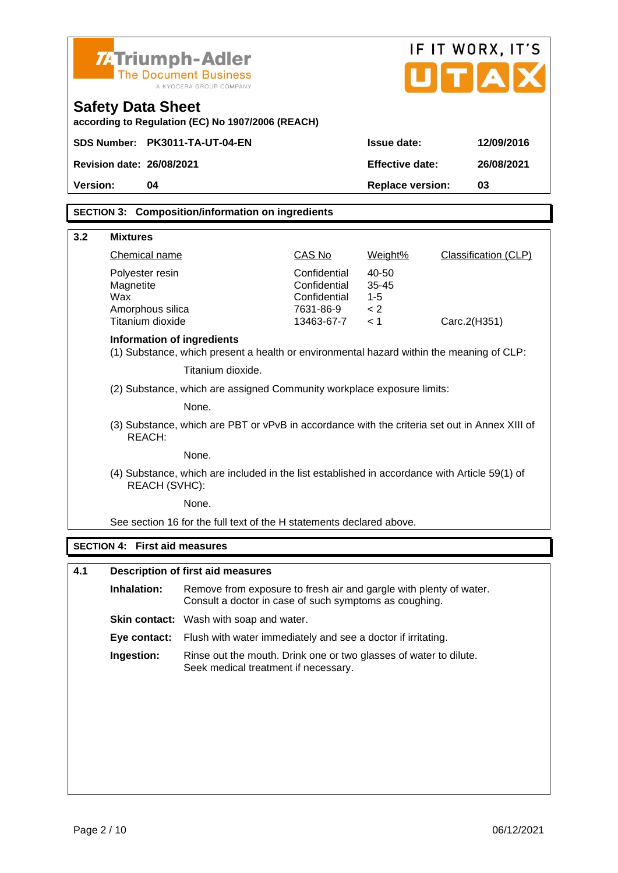| <b>74 Triumph-Adler</b><br><b>The Document Business</b><br>Safety Data Sheet<br>according to Regulation (EC) No 1907/2006 (REACH)           | A KYOCERA GROUP COMPANY                                                                                                      |                                                                         |                                             | IF IT WORX, IT'S<br>U[T A] |  |
|---------------------------------------------------------------------------------------------------------------------------------------------|------------------------------------------------------------------------------------------------------------------------------|-------------------------------------------------------------------------|---------------------------------------------|----------------------------|--|
| SDS Number: PK3011-TA-UT-04-EN                                                                                                              |                                                                                                                              |                                                                         | Issue date:                                 | 12/09/2016                 |  |
| Revision date: 26/08/2021                                                                                                                   |                                                                                                                              |                                                                         | Effective date:                             | 26/08/2021                 |  |
| Version:<br>04                                                                                                                              |                                                                                                                              |                                                                         |                                             | 03                         |  |
|                                                                                                                                             |                                                                                                                              |                                                                         | Replace version:                            |                            |  |
| SECTION 3: Composition/information on ingredients                                                                                           |                                                                                                                              |                                                                         |                                             |                            |  |
| 3.2<br><b>Mixtures</b>                                                                                                                      |                                                                                                                              |                                                                         |                                             |                            |  |
| Chemical name                                                                                                                               |                                                                                                                              | CAS No                                                                  | Weight%                                     | Classification (CLP)       |  |
| Polyester resin<br>Magnetite<br>Wax<br>Amorphous silica<br>Titanium dioxide                                                                 |                                                                                                                              | Confidential<br>Confidential<br>Confidential<br>7631-86-9<br>13463-67-7 | 40-50<br>$35 - 45$<br>$1 - 5$<br>< 2<br>< 1 | Carc.2(H351)               |  |
| Information of ingredients<br>(1) Substance, which present a health or environmental hazard within the meaning of CLP:<br>Titanium dioxide. |                                                                                                                              |                                                                         |                                             |                            |  |
|                                                                                                                                             | (2) Substance, which are assigned Community workplace exposure limits:                                                       |                                                                         |                                             |                            |  |
|                                                                                                                                             | None.                                                                                                                        |                                                                         |                                             |                            |  |
| REACH:                                                                                                                                      | (3) Substance, which are PBT or vPvB in accordance with the criteria set out in Annex XIII of                                |                                                                         |                                             |                            |  |
|                                                                                                                                             | None.                                                                                                                        |                                                                         |                                             |                            |  |
| REACH (SVHC):                                                                                                                               | (4) Substance, which are included in the list established in accordance with Article 59(1) of                                |                                                                         |                                             |                            |  |
|                                                                                                                                             | None.                                                                                                                        |                                                                         |                                             |                            |  |
|                                                                                                                                             | See section 16 for the full text of the H statements declared above.                                                         |                                                                         |                                             |                            |  |
| SECTION 4: First aid measures                                                                                                               |                                                                                                                              |                                                                         |                                             |                            |  |
| 4.1                                                                                                                                         | Description of first aid measures                                                                                            |                                                                         |                                             |                            |  |
| Inhalation:                                                                                                                                 | Remove from exposure to fresh air and gargle with plenty of water.<br>Consult a doctor in case of such symptoms as coughing. |                                                                         |                                             |                            |  |
|                                                                                                                                             | Skin contact: Wash with soap and water.                                                                                      |                                                                         |                                             |                            |  |
| Eye contact:                                                                                                                                | Flush with water immediately and see a doctor if irritating.                                                                 |                                                                         |                                             |                            |  |
| Ingestion:<br>Rinse out the mouth. Drink one or two glasses of water to dilute.<br>Seek medical treatment if necessary.                     |                                                                                                                              |                                                                         |                                             |                            |  |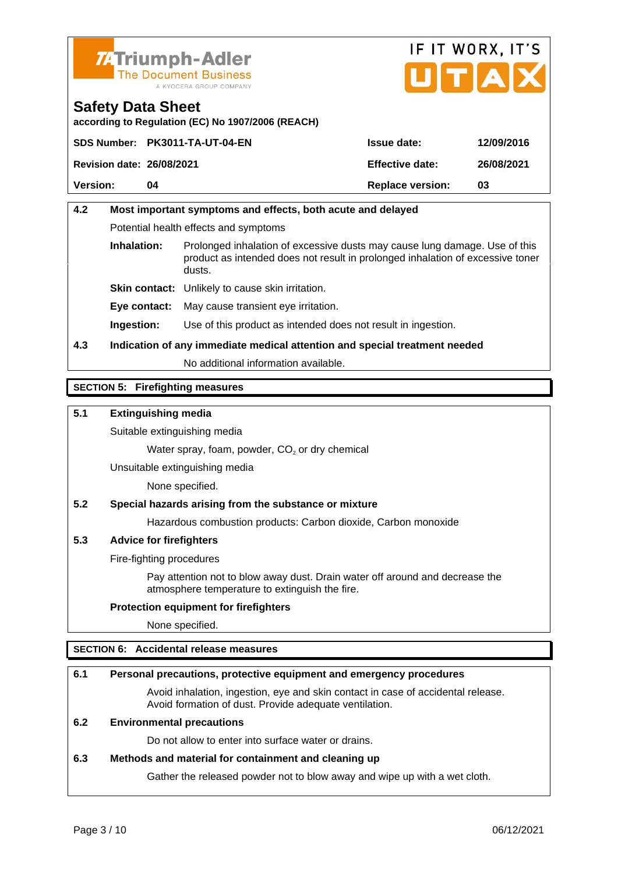



according to Regulation (EC) No 1907/2006 (REACH)

|                           | SDS Number: PK3011-TA-UT-04-EN | Issue date:      | 12/09/2016 |
|---------------------------|--------------------------------|------------------|------------|
| Revision date: 26/08/2021 |                                | Effective date:  | 26/08/2021 |
| Version:                  | 04                             | Replace version: | 03         |

# 4.2 Most important symptoms and effects, both acute and delayed Potential health effects and symptoms Inhalation: Prolonged inhalation of excessive dusts may cause lung damage. Use of this product as intended does not result in prolonged inhalation of excessive toner dusts. Skin contact: Unlikely to cause skin irritation. Eye contact: May cause transient eye irritation. Ingestion: Use of this product as intended does not result in ingestion. 4.3 Indication of any immediate medical attention and special treatment needed No additional information available.

#### SECTION 5: Firefighting measures

5.1 Extinguishing media

Suitable extinguishing media

Water spray, foam, powder,  $CO<sub>2</sub>$  or dry chemical

Unsuitable extinguishing media

None specified.

5.2 Special hazards arising from the substance or mixture

Hazardous combustion products: Carbon dioxide, Carbon monoxide

5.3 Advice for firefighters

Fire-fighting procedures

Pay attention not to blow away dust. Drain water off around and decrease the atmosphere temperature to extinguish the fire.

Protection equipment for firefighters

None specified.

#### SECTION 6: Accidental release measures

| 6.1 | Personal precautions, protective equipment and emergency procedures                                                                        |
|-----|--------------------------------------------------------------------------------------------------------------------------------------------|
|     | Avoid inhalation, ingestion, eye and skin contact in case of accidental release.<br>Avoid formation of dust. Provide adequate ventilation. |
| 6.2 | Environmental precautions                                                                                                                  |
|     | Do not allow to enter into surface water or drains.                                                                                        |
| 6.3 | Methods and material for containment and cleaning up                                                                                       |
|     | Gather the released powder not to blow away and wipe up with a wet cloth.                                                                  |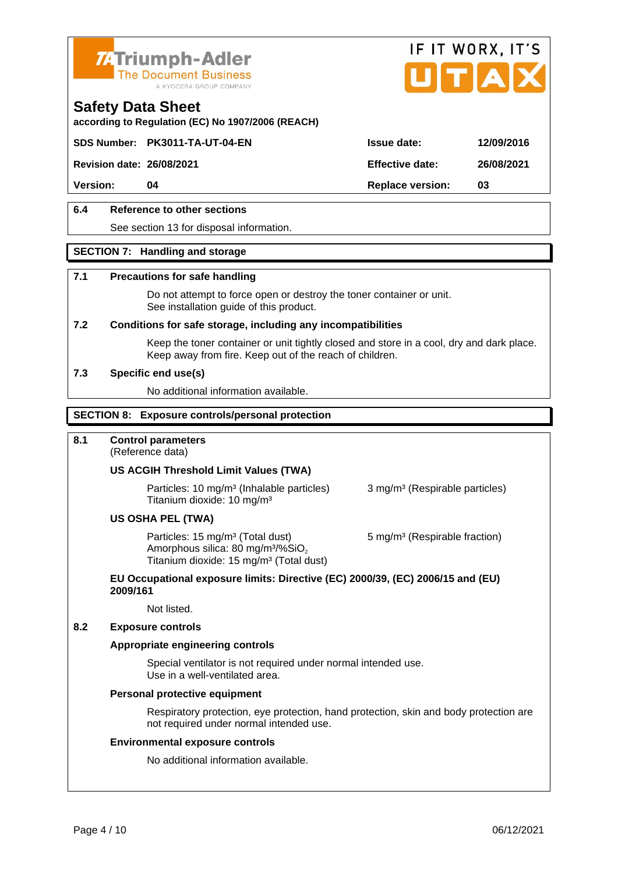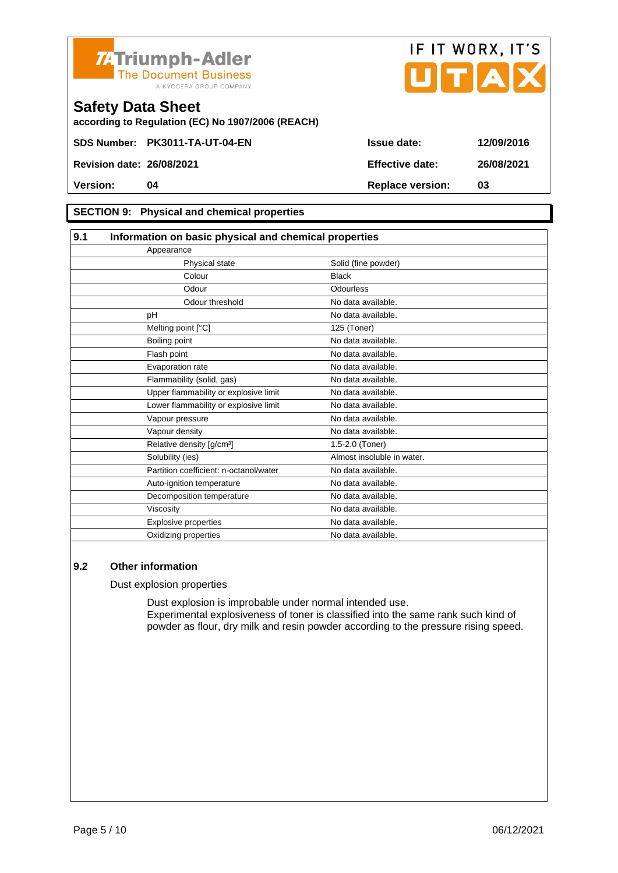



according to Regulation (EC) No 1907/2006 (REACH)

#### SECTION 9: Physical and chemical properties

| 9.1 | Information on basic physical and chemical properties |                            |  |
|-----|-------------------------------------------------------|----------------------------|--|
|     | Appearance                                            |                            |  |
|     | Physical state                                        | Solid (fine powder)        |  |
|     | Colour                                                | <b>Black</b>               |  |
|     | Odour                                                 | Odourless                  |  |
|     | Odour threshold                                       | No data available.         |  |
|     | рH                                                    | No data available.         |  |
|     | Melting point [°C]                                    | 125 (Toner)                |  |
|     | Boiling point                                         | No data available.         |  |
|     | Flash point                                           | No data available.         |  |
|     | Evaporation rate                                      | No data available.         |  |
|     | Flammability (solid, gas)                             | No data available.         |  |
|     | Upper flammability or explosive limit                 | No data available.         |  |
|     | Lower flammability or explosive limit                 | No data available.         |  |
|     | Vapour pressure                                       | No data available.         |  |
|     | Vapour density                                        | No data available.         |  |
|     | Relative density [g/cm <sup>3</sup> ]                 | 1.5-2.0 (Toner)            |  |
|     | Solubility (ies)                                      | Almost insoluble in water. |  |
|     | Partition coefficient: n-octanol/water                | No data available.         |  |
|     | Auto-ignition temperature                             | No data available.         |  |
|     | Decomposition temperature                             | No data available.         |  |
|     | Viscosity                                             | No data available.         |  |
|     | <b>Explosive properties</b>                           | No data available.         |  |
|     | Oxidizing properties                                  | No data available.         |  |

#### 9.2 Other information

Dust explosion properties

Dust explosion is improbable under normal intended use. Experimental explosiveness of toner is classified into the same rank such kind of powder as flour, dry milk and resin powder according to the pressure rising speed.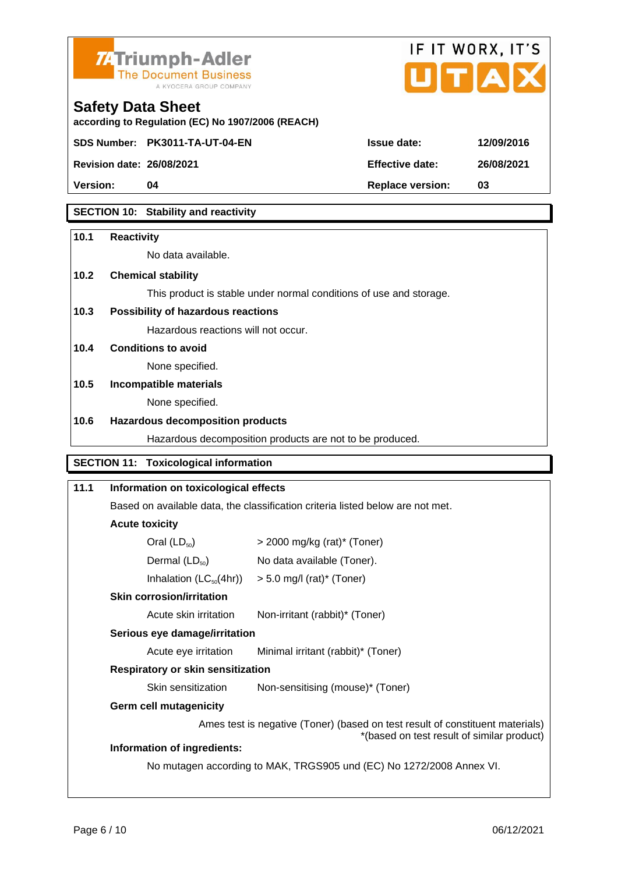

according to Regulation (EC) No 1907/2006 (REACH)

![](_page_5_Picture_1.jpeg)

Safety Data Sheet

| Version: | Replace version: 03 |  |
|----------|---------------------|--|

### SECTION 10: Stability and reactivity

| 10.1 | Reactivity                                                                                                                  |                                                                                |  |  |  |
|------|-----------------------------------------------------------------------------------------------------------------------------|--------------------------------------------------------------------------------|--|--|--|
|      | No data available.                                                                                                          |                                                                                |  |  |  |
|      |                                                                                                                             |                                                                                |  |  |  |
| 10.2 | Chemical stability                                                                                                          |                                                                                |  |  |  |
|      |                                                                                                                             | This product is stable under normal conditions of use and storage.             |  |  |  |
| 10.3 | Possibility of hazardous reactions                                                                                          |                                                                                |  |  |  |
|      | Hazardous reactions will not occur.                                                                                         |                                                                                |  |  |  |
| 10.4 | Conditions to avoid                                                                                                         |                                                                                |  |  |  |
|      | None specified.                                                                                                             |                                                                                |  |  |  |
| 10.5 | Incompatible materials                                                                                                      |                                                                                |  |  |  |
|      | None specified.                                                                                                             |                                                                                |  |  |  |
| 10.6 | Hazardous decomposition products                                                                                            |                                                                                |  |  |  |
|      |                                                                                                                             | Hazardous decomposition products are not to be produced.                       |  |  |  |
|      | <b>SECTION 11:</b><br>Toxicological information                                                                             |                                                                                |  |  |  |
| 11.1 | Information on toxicological effects                                                                                        |                                                                                |  |  |  |
|      |                                                                                                                             | Based on available data, the classification criteria listed below are not met. |  |  |  |
|      | Acute toxicity                                                                                                              |                                                                                |  |  |  |
|      | Oral $(LD_{50})$                                                                                                            | $>$ 2000 mg/kg (rat)* (Toner)                                                  |  |  |  |
|      | Dermal $(LD_{50})$                                                                                                          | No data available (Toner).                                                     |  |  |  |
|      | Inhalation $(LC_{50}(4hr))$                                                                                                 | $> 5.0$ mg/l (rat)* (Toner)                                                    |  |  |  |
|      | Skin corrosion/irritation                                                                                                   |                                                                                |  |  |  |
|      | Acute skin irritation                                                                                                       | Non-irritant (rabbit)* (Toner)                                                 |  |  |  |
|      | Serious eye damage/irritation                                                                                               |                                                                                |  |  |  |
|      | Acute eye irritation                                                                                                        | Minimal irritant (rabbit)* (Toner)                                             |  |  |  |
|      | Respiratory or skin sensitization                                                                                           |                                                                                |  |  |  |
|      | Skin sensitization                                                                                                          | Non-sensitising (mouse)* (Toner)                                               |  |  |  |
|      | Germ cell mutagenicity                                                                                                      |                                                                                |  |  |  |
|      | Ames test is negative (Toner) (based on test result of constituent materials)<br>*(based on test result of similar product) |                                                                                |  |  |  |
|      | Information of ingredients:                                                                                                 |                                                                                |  |  |  |
|      | No mutagen according to MAK, TRGS905 und (EC) No 1272/2008 Annex VI.                                                        |                                                                                |  |  |  |
|      |                                                                                                                             |                                                                                |  |  |  |
|      |                                                                                                                             |                                                                                |  |  |  |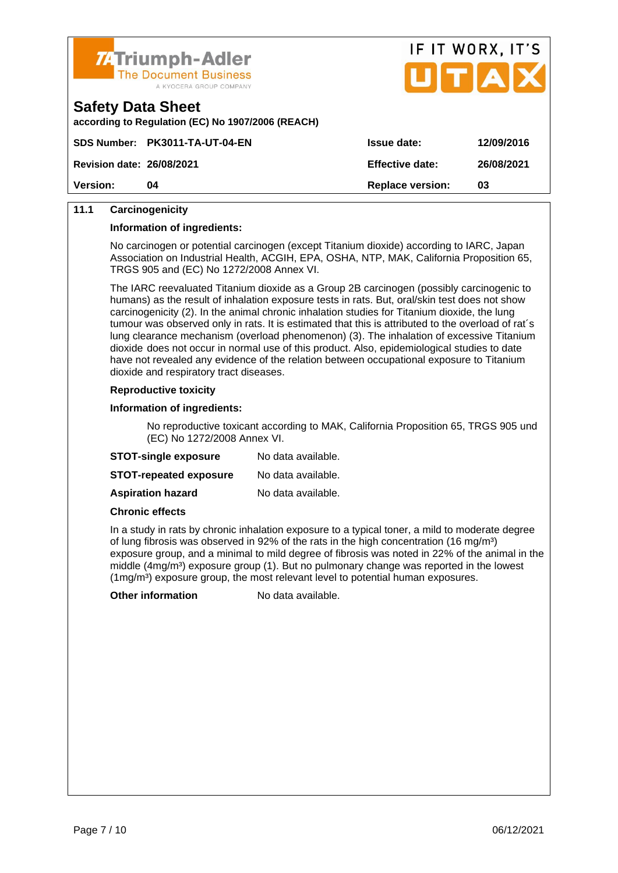![](_page_6_Picture_0.jpeg)

![](_page_6_Picture_1.jpeg)

| Salety Data Sheet                       |  |  |  |
|-----------------------------------------|--|--|--|
| according to Pequiption (EC) No. 1007/2 |  |  |  |

according to Regulation (EC) No 1907/2006 (REACH)

|                           | SDS Number: PK3011-TA-UT-04-EN | Issue date:      | 12/09/2016 |
|---------------------------|--------------------------------|------------------|------------|
| Revision date: 26/08/2021 |                                | Effective date:  | 26/08/2021 |
| Version:                  | ገ4                             | Replace version: | 03         |

#### 11.1 Carcinogenicity

Information of ingredients:

No carcinogen or potential carcinogen (except Titanium dioxide) according to IARC, Japan Association on Industrial Health, ACGIH, EPA, OSHA, NTP, MAK, California Proposition 65, TRGS 905 and (EC) No 1272/2008 Annex VI.

The IARC reevaluated Titanium dioxide as a Group 2B carcinogen (possibly carcinogenic to humans) as the result of inhalation exposure tests in rats. But, oral/skin test does not show carcinogenicity (2). In the animal chronic inhalation studies for Titanium dioxide, the lung tumour was observed only in rats. It is estimated that this is attributed to the overload of rat´s lung clearance mechanism (overload phenomenon) (3). The inhalation of excessive Titanium dioxide does not occur in normal use of this product. Also, epidemiological studies to date have not revealed any evidence of the relation between occupational exposure to Titanium dioxide and respiratory tract diseases.

#### Reproductive toxicity

Information of ingredients:

No reproductive toxicant according to MAK, California Proposition 65, TRGS 905 und (EC) No 1272/2008 Annex VI.

| STOT-single exposure   | No data available. |
|------------------------|--------------------|
| STOT-repeated exposure | No data available. |
| Aspiration hazard      | No data available. |

Chronic effects

In a study in rats by chronic inhalation exposure to a typical toner, a mild to moderate degree of lung fibrosis was observed in 92% of the rats in the high concentration (16 mg/m<sup>3</sup>) exposure group, and a minimal to mild degree of fibrosis was noted in 22% of the animal in the middle (4mg/m<sup>3</sup>) exposure group (1). But no pulmonary change was reported in the lowest  $(1 \text{mg/m}^3)$  exposure group, the most relevant level to potential human exposures.

Other information No data available.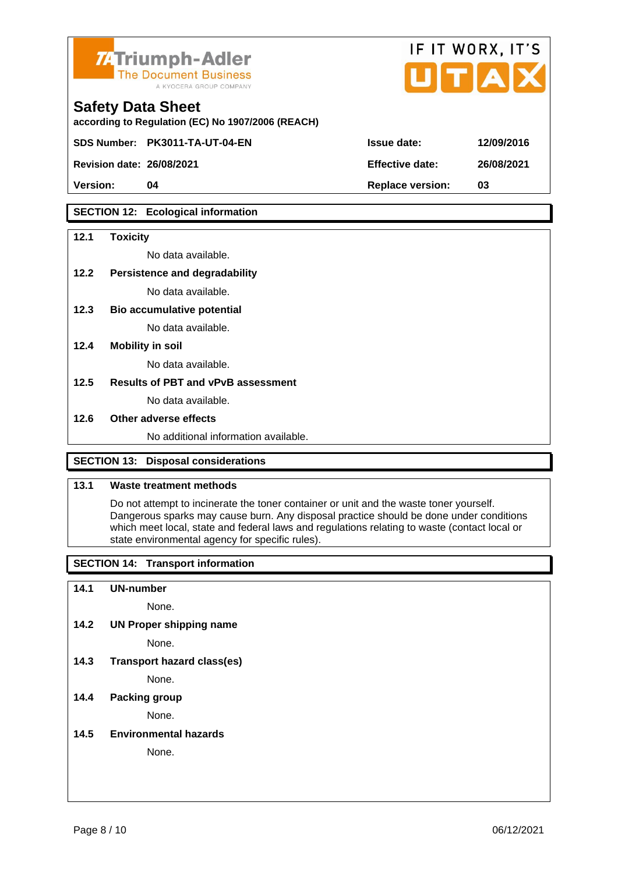![](_page_7_Picture_0.jpeg)

according to Regulation (EC) No 1907/2006 (REACH)

Safety Data Sheet

Revision date: 26/08/2021

|                 | IF II WURX, II 5 |
|-----------------|------------------|
| Issue date:     | 12/09/2016       |
| Effective date: | 26/08/2021       |

 $F1T1100V$ 

 $1710$ 

Version: 04 Replace version: 03

#### SECTION 12: Ecological information

SDS Number: PK3011-TA-UT-04-EN

| 12.1                                | Toxicity                             |  |
|-------------------------------------|--------------------------------------|--|
|                                     | No data available.                   |  |
| 12.2                                | Persistence and degradability        |  |
|                                     | No data available.                   |  |
| 12.3                                | Bio accumulative potential           |  |
|                                     | No data available.                   |  |
| 12.4                                | Mobility in soil                     |  |
|                                     | No data available.                   |  |
| 12.5                                | Results of PBT and vPvB assessment   |  |
|                                     | No data available.                   |  |
| 12.6                                | Other adverse effects                |  |
|                                     | No additional information available. |  |
|                                     |                                      |  |
| SECTION 13: Disposal considerations |                                      |  |

## 13.1 Waste treatment methods

Do not attempt to incinerate the toner container or unit and the waste toner yourself. Dangerous sparks may cause burn. Any disposal practice should be done under conditions which meet local, state and federal laws and regulations relating to waste (contact local or state environmental agency for specific rules).

SECTION 14: Transport information

14.1 UN-number

None.

14.2 UN Proper shipping name

None.

14.3 Transport hazard class(es)

None.

#### 14.4 Packing group

None.

14.5 Environmental hazards

None.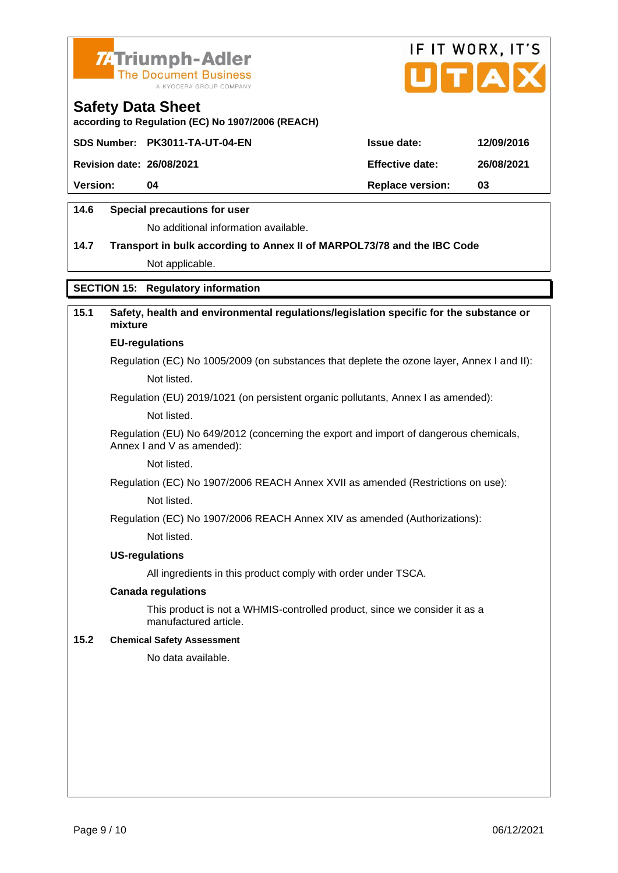![](_page_8_Picture_0.jpeg)

![](_page_8_Picture_1.jpeg)

according to Regulation (EC) No 1907/2006 (REACH)

|                           | SDS Number: PK3011-TA-UT-04-EN | Issue date:      | 12/09/2016 |
|---------------------------|--------------------------------|------------------|------------|
| Revision date: 26/08/2021 |                                | Effective date:  | 26/08/2021 |
| Version:                  | 04                             | Replace version: | 03         |
|                           |                                |                  |            |

### 14.6 Special precautions for user

No additional information available.

14.7 Transport in bulk according to Annex II of MARPOL73/78 and the IBC Code Not applicable.

#### SECTION 15: Regulatory information

| 15.1 | Safety, health and environmental regulations/legislation specific for the substance or<br>mixture                   |
|------|---------------------------------------------------------------------------------------------------------------------|
|      | EU-regulations                                                                                                      |
|      | Regulation (EC) No 1005/2009 (on substances that deplete the ozone layer, Annex I and II):                          |
|      | Not listed.                                                                                                         |
|      | Regulation (EU) 2019/1021 (on persistent organic pollutants, Annex I as amended):                                   |
|      | Not listed.                                                                                                         |
|      | Regulation (EU) No 649/2012 (concerning the export and import of dangerous chemicals,<br>Annex I and V as amended): |
|      | Not listed.                                                                                                         |
|      | Regulation (EC) No 1907/2006 REACH Annex XVII as amended (Restrictions on use):                                     |
|      | Not listed.                                                                                                         |
|      | Regulation (EC) No 1907/2006 REACH Annex XIV as amended (Authorizations):                                           |
|      | Not listed.                                                                                                         |
|      | US-regulations                                                                                                      |
|      | All ingredients in this product comply with order under TSCA.                                                       |
|      | Canada regulations                                                                                                  |
|      | This product is not a WHMIS-controlled product, since we consider it as a<br>manufactured article.                  |
| 15.2 | <b>Chemical Safety Assessment</b>                                                                                   |
|      | No data available.                                                                                                  |
|      |                                                                                                                     |
|      |                                                                                                                     |
|      |                                                                                                                     |
|      |                                                                                                                     |
|      |                                                                                                                     |
|      |                                                                                                                     |